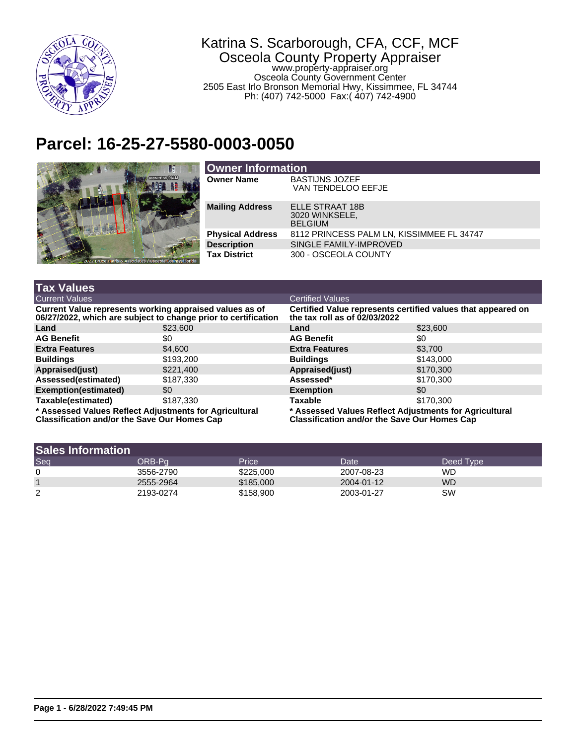

## Katrina S. Scarborough, CFA, CCF, MCF Osceola County Property Appraiser www.property-appraiser.org Osceola County Government Center 2505 East Irlo Bronson Memorial Hwy, Kissimmee, FL 34744 Ph: (407) 742-5000 Fax:( 407) 742-4900

## **Parcel: 16-25-27-5580-0003-0050**



| <b>Owner Information</b> |                                                     |  |  |  |
|--------------------------|-----------------------------------------------------|--|--|--|
| <b>Owner Name</b>        | <b>BASTIJNS JOZEF</b><br>VAN TENDELOO EEFJE         |  |  |  |
| <b>Mailing Address</b>   | ELLE STRAAT 18B<br>3020 WINKSELE,<br><b>BELGIUM</b> |  |  |  |
| <b>Physical Address</b>  | 8112 PRINCESS PALM LN, KISSIMMEE FL 34747           |  |  |  |
| <b>Description</b>       | SINGLE FAMILY-IMPROVED                              |  |  |  |
| <b>Tax District</b>      | 300 - OSCEOLA COUNTY                                |  |  |  |

| <b>Tax Values</b>                                                                                                         |           |                                                                                                               |           |  |
|---------------------------------------------------------------------------------------------------------------------------|-----------|---------------------------------------------------------------------------------------------------------------|-----------|--|
| <b>Current Values</b>                                                                                                     |           | <b>Certified Values</b>                                                                                       |           |  |
| Current Value represents working appraised values as of<br>06/27/2022, which are subject to change prior to certification |           | Certified Value represents certified values that appeared on<br>the tax roll as of $02/03/2022$               |           |  |
| Land                                                                                                                      | \$23,600  | Land                                                                                                          | \$23,600  |  |
| <b>AG Benefit</b>                                                                                                         | \$0       | <b>AG Benefit</b>                                                                                             | \$0       |  |
| <b>Extra Features</b>                                                                                                     | \$4,600   | <b>Extra Features</b>                                                                                         | \$3.700   |  |
| <b>Buildings</b>                                                                                                          | \$193,200 | <b>Buildings</b>                                                                                              | \$143,000 |  |
| Appraised(just)                                                                                                           | \$221,400 | Appraised(just)                                                                                               | \$170,300 |  |
| Assessed(estimated)                                                                                                       | \$187.330 | Assessed*                                                                                                     | \$170,300 |  |
| Exemption(estimated)                                                                                                      | \$0       | <b>Exemption</b>                                                                                              | \$0       |  |
| Taxable(estimated)                                                                                                        | \$187,330 | Taxable                                                                                                       | \$170,300 |  |
| * Assessed Values Reflect Adjustments for Agricultural<br><b>Classification and/or the Save Our Homes Cap</b>             |           | * Assessed Values Reflect Adjustments for Agricultural<br><b>Classification and/or the Save Our Homes Cap</b> |           |  |

| <b>Sales Information</b> |           |           |            |           |
|--------------------------|-----------|-----------|------------|-----------|
| Seq                      | ORB-Pa    | Price     | Date       | Deed Type |
| 0                        | 3556-2790 | \$225,000 | 2007-08-23 | <b>WD</b> |
|                          | 2555-2964 | \$185,000 | 2004-01-12 | <b>WD</b> |
| ົ<br>∠                   | 2193-0274 | \$158,900 | 2003-01-27 | SW        |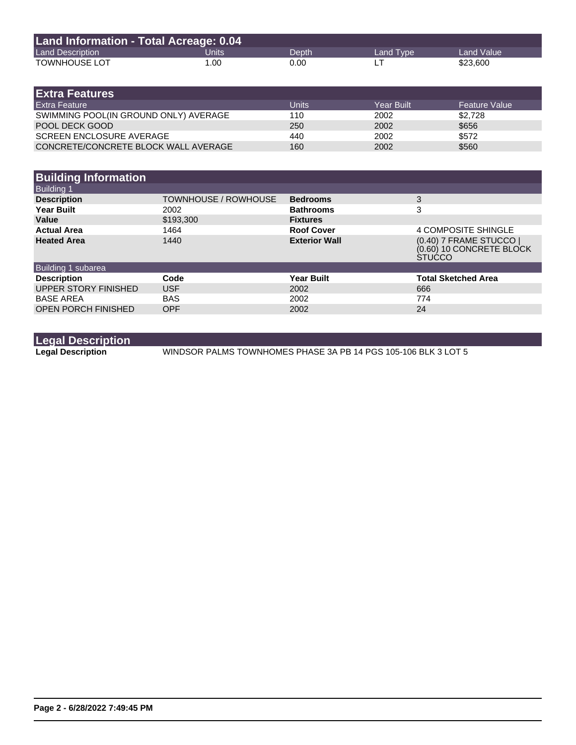| Land Information - Total Acreage: 0.04 |       |       |           |            |
|----------------------------------------|-------|-------|-----------|------------|
| <b>Land Description</b>                | Units | Depth | Land Type | Land Value |
| <b>TOWNHOUSE LOT</b>                   | 1.00  | 0.00  |           | \$23,600   |

| <b>Extra Features</b>                 |       |            |                      |
|---------------------------------------|-------|------------|----------------------|
| <b>Extra Feature</b>                  | Units | Year Built | <b>Feature Value</b> |
| SWIMMING POOL(IN GROUND ONLY) AVERAGE | 110   | 2002       | \$2.728              |
| POOL DECK GOOD                        | 250   | 2002       | \$656                |
| <b>SCREEN ENCLOSURE AVERAGE</b>       | 440   | 2002       | \$572                |
| CONCRETE/CONCRETE BLOCK WALL AVERAGE  | 160   | 2002       | \$560                |

| <b>Building Information</b> |                             |                      |                                                                      |
|-----------------------------|-----------------------------|----------------------|----------------------------------------------------------------------|
| <b>Building 1</b>           |                             |                      |                                                                      |
| <b>Description</b>          | <b>TOWNHOUSE / ROWHOUSE</b> | <b>Bedrooms</b>      | 3                                                                    |
| <b>Year Built</b>           | 2002                        | <b>Bathrooms</b>     | 3                                                                    |
| Value                       | \$193,300                   | <b>Fixtures</b>      |                                                                      |
| <b>Actual Area</b>          | 1464                        | <b>Roof Cover</b>    | 4 COMPOSITE SHINGLE                                                  |
| <b>Heated Area</b>          | 1440                        | <b>Exterior Wall</b> | (0.40) 7 FRAME STUCCO  <br>(0.60) 10 CONCRETE BLOCK<br><b>STUCCO</b> |
| Building 1 subarea          |                             |                      |                                                                      |
| <b>Description</b>          | Code                        | <b>Year Built</b>    | <b>Total Sketched Area</b>                                           |
| UPPER STORY FINISHED        | <b>USF</b>                  | 2002                 | 666                                                                  |
| <b>BASE AREA</b>            | <b>BAS</b>                  | 2002                 | 774                                                                  |
| <b>OPEN PORCH FINISHED</b>  | <b>OPF</b>                  | 2002                 | 24                                                                   |

**Legal Description**

**Legal Description** WINDSOR PALMS TOWNHOMES PHASE 3A PB 14 PGS 105-106 BLK 3 LOT 5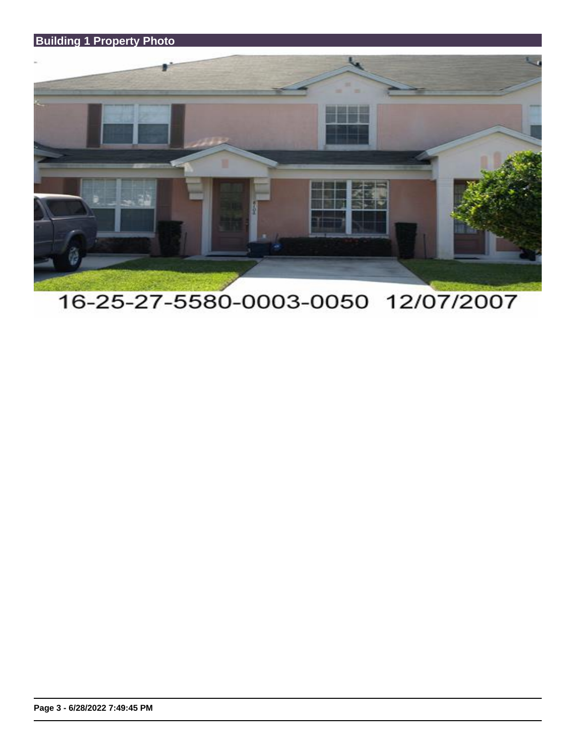## **Building 1 Property Photo**



## 16-25-27-5580-0003-0050 12/07/2007